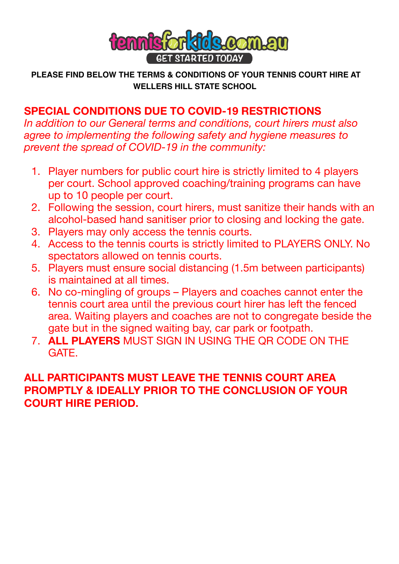

 **PLEASE FIND BELOW THE TERMS & CONDITIONS OF YOUR TENNIS COURT HIRE AT WELLERS HILL STATE SCHOOL**

# **SPECIAL CONDITIONS DUE TO COVID-19 RESTRICTIONS**

*In addition to our General terms and conditions, court hirers must also agree to implementing the following safety and hygiene measures to prevent the spread of COVID-19 in the community:*

- 1. Player numbers for public court hire is strictly limited to 4 players per court. School approved coaching/training programs can have up to 10 people per court.
- 2. Following the session, court hirers, must sanitize their hands with an alcohol-based hand sanitiser prior to closing and locking the gate.
- 3. Players may only access the tennis courts.
- 4. Access to the tennis courts is strictly limited to PLAYERS ONLY. No spectators allowed on tennis courts.
- 5. Players must ensure social distancing (1.5m between participants) is maintained at all times.
- 6. No co-mingling of groups Players and coaches cannot enter the tennis court area until the previous court hirer has left the fenced area. Waiting players and coaches are not to congregate beside the gate but in the signed waiting bay, car park or footpath.
- 7. **ALL PLAYERS** MUST SIGN IN USING THE QR CODE ON THE **GATE**

## **ALL PARTICIPANTS MUST LEAVE THE TENNIS COURT AREA PROMPTLY & IDEALLY PRIOR TO THE CONCLUSION OF YOUR COURT HIRE PERIOD.**